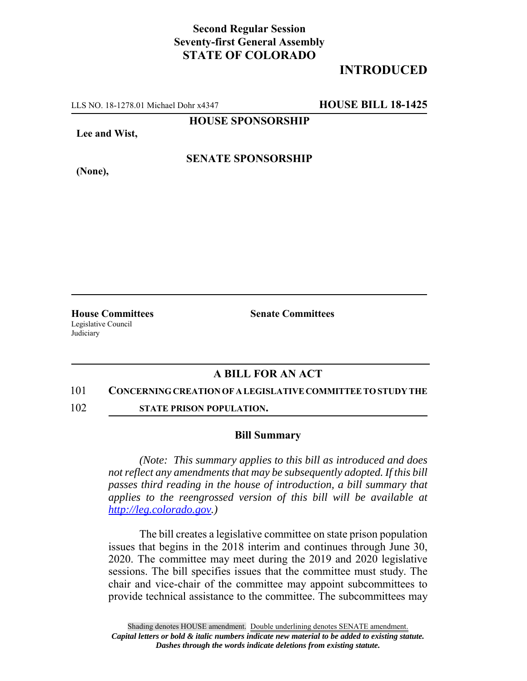## **Second Regular Session Seventy-first General Assembly STATE OF COLORADO**

# **INTRODUCED**

LLS NO. 18-1278.01 Michael Dohr x4347 **HOUSE BILL 18-1425**

**HOUSE SPONSORSHIP**

**Lee and Wist,**

**(None),**

### **SENATE SPONSORSHIP**

Legislative Council Judiciary

**House Committees Senate Committees** 

### **A BILL FOR AN ACT**

#### 101 **CONCERNING CREATION OF A LEGISLATIVE COMMITTEE TO STUDY THE**

102 **STATE PRISON POPULATION.**

#### **Bill Summary**

*(Note: This summary applies to this bill as introduced and does not reflect any amendments that may be subsequently adopted. If this bill passes third reading in the house of introduction, a bill summary that applies to the reengrossed version of this bill will be available at http://leg.colorado.gov.)*

The bill creates a legislative committee on state prison population issues that begins in the 2018 interim and continues through June 30, 2020. The committee may meet during the 2019 and 2020 legislative sessions. The bill specifies issues that the committee must study. The chair and vice-chair of the committee may appoint subcommittees to provide technical assistance to the committee. The subcommittees may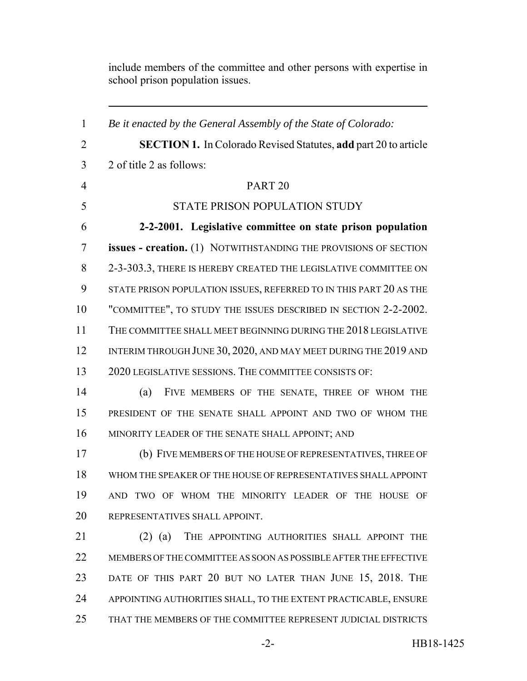include members of the committee and other persons with expertise in school prison population issues.

 *Be it enacted by the General Assembly of the State of Colorado:* **SECTION 1.** In Colorado Revised Statutes, **add** part 20 to article 2 of title 2 as follows: PART 20 STATE PRISON POPULATION STUDY **2-2-2001. Legislative committee on state prison population issues - creation.** (1) NOTWITHSTANDING THE PROVISIONS OF SECTION 2-3-303.3, THERE IS HEREBY CREATED THE LEGISLATIVE COMMITTEE ON STATE PRISON POPULATION ISSUES, REFERRED TO IN THIS PART 20 AS THE "COMMITTEE", TO STUDY THE ISSUES DESCRIBED IN SECTION 2-2-2002. THE COMMITTEE SHALL MEET BEGINNING DURING THE 2018 LEGISLATIVE 12 INTERIM THROUGH JUNE 30, 2020, AND MAY MEET DURING THE 2019 AND 2020 LEGISLATIVE SESSIONS. THE COMMITTEE CONSISTS OF: (a) FIVE MEMBERS OF THE SENATE, THREE OF WHOM THE PRESIDENT OF THE SENATE SHALL APPOINT AND TWO OF WHOM THE MINORITY LEADER OF THE SENATE SHALL APPOINT; AND (b) FIVE MEMBERS OF THE HOUSE OF REPRESENTATIVES, THREE OF WHOM THE SPEAKER OF THE HOUSE OF REPRESENTATIVES SHALL APPOINT AND TWO OF WHOM THE MINORITY LEADER OF THE HOUSE OF REPRESENTATIVES SHALL APPOINT. 21 (2) (a) THE APPOINTING AUTHORITIES SHALL APPOINT THE MEMBERS OF THE COMMITTEE AS SOON AS POSSIBLE AFTER THE EFFECTIVE DATE OF THIS PART 20 BUT NO LATER THAN JUNE 15, 2018. THE APPOINTING AUTHORITIES SHALL, TO THE EXTENT PRACTICABLE, ENSURE THAT THE MEMBERS OF THE COMMITTEE REPRESENT JUDICIAL DISTRICTS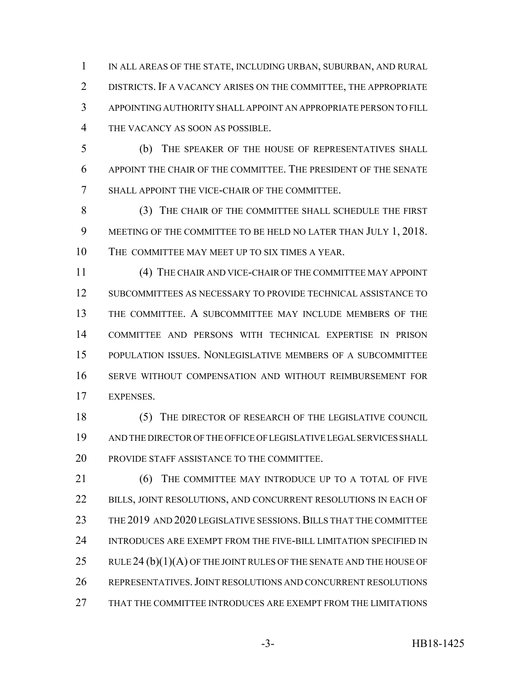IN ALL AREAS OF THE STATE, INCLUDING URBAN, SUBURBAN, AND RURAL DISTRICTS. IF A VACANCY ARISES ON THE COMMITTEE, THE APPROPRIATE APPOINTING AUTHORITY SHALL APPOINT AN APPROPRIATE PERSON TO FILL THE VACANCY AS SOON AS POSSIBLE.

 (b) THE SPEAKER OF THE HOUSE OF REPRESENTATIVES SHALL APPOINT THE CHAIR OF THE COMMITTEE. THE PRESIDENT OF THE SENATE SHALL APPOINT THE VICE-CHAIR OF THE COMMITTEE.

 (3) THE CHAIR OF THE COMMITTEE SHALL SCHEDULE THE FIRST 9 MEETING OF THE COMMITTEE TO BE HELD NO LATER THAN JULY 1, 2018. THE COMMITTEE MAY MEET UP TO SIX TIMES A YEAR.

 (4) THE CHAIR AND VICE-CHAIR OF THE COMMITTEE MAY APPOINT SUBCOMMITTEES AS NECESSARY TO PROVIDE TECHNICAL ASSISTANCE TO THE COMMITTEE. A SUBCOMMITTEE MAY INCLUDE MEMBERS OF THE COMMITTEE AND PERSONS WITH TECHNICAL EXPERTISE IN PRISON POPULATION ISSUES. NONLEGISLATIVE MEMBERS OF A SUBCOMMITTEE SERVE WITHOUT COMPENSATION AND WITHOUT REIMBURSEMENT FOR EXPENSES.

18 (5) THE DIRECTOR OF RESEARCH OF THE LEGISLATIVE COUNCIL AND THE DIRECTOR OF THE OFFICE OF LEGISLATIVE LEGAL SERVICES SHALL PROVIDE STAFF ASSISTANCE TO THE COMMITTEE.

**(6) THE COMMITTEE MAY INTRODUCE UP TO A TOTAL OF FIVE** 22 BILLS, JOINT RESOLUTIONS, AND CONCURRENT RESOLUTIONS IN EACH OF THE 2019 AND 2020 LEGISLATIVE SESSIONS.BILLS THAT THE COMMITTEE INTRODUCES ARE EXEMPT FROM THE FIVE-BILL LIMITATION SPECIFIED IN 25 RULE 24  $(b)(1)(A)$  OF THE JOINT RULES OF THE SENATE AND THE HOUSE OF REPRESENTATIVES.JOINT RESOLUTIONS AND CONCURRENT RESOLUTIONS THAT THE COMMITTEE INTRODUCES ARE EXEMPT FROM THE LIMITATIONS